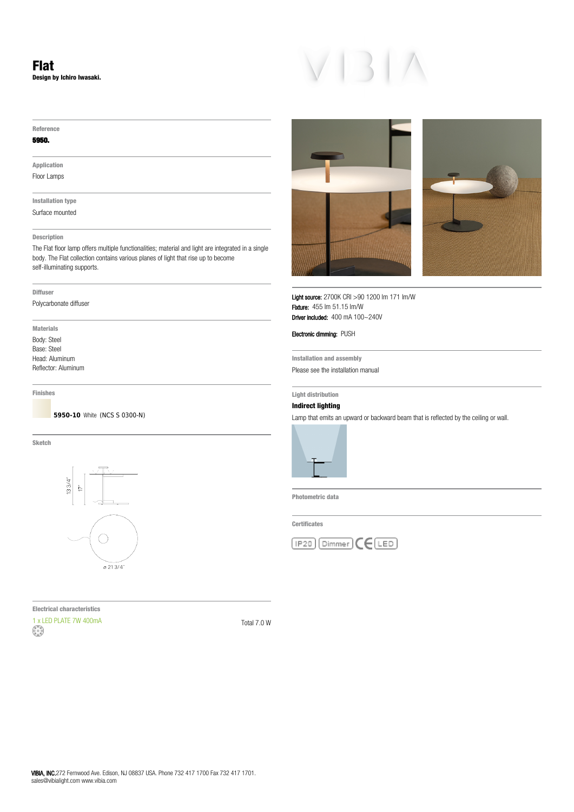# **Flat Design by Ichiro Iwasaki.**

### **Reference**

### **5950.**

**Application** Floor Lamps

**Installation type** Surface mounted

## **Description**

The Flat floor lamp offers multiple functionalities; material and light are integrated in a single body. The Flat collection contains various planes of light that rise up to become self-illuminating supports.

### **Diffuser**

Polycarbonate diffuser

**Materials** Body: Steel Base: Steel Head: Aluminum Reflector: Aluminum

**Finishes**

**5950-10** White (NCS S 0300-N)

**Sketch**



**Electrical characteristics**  $1 \times$  LED PLATE 7W 400mA  $\begin{pmatrix} 1 & 0 \\ 0 & 1 \end{pmatrix}$  Total 7.0 W





Light source: 2700K CRI >90 1200 lm 171 lm/W Fixture: 455 lm 51.15 lm/W Driver included: 400 mA 100~240V

Electronic dimming: PUSH

**Installation and assembly** Please see the installation manual

## **Light distribution**

# **Indirect lighting**

Lamp that emits an upward or backward beam that is reflected by the ceiling or wall.



**Photometric data**

**Certificates**